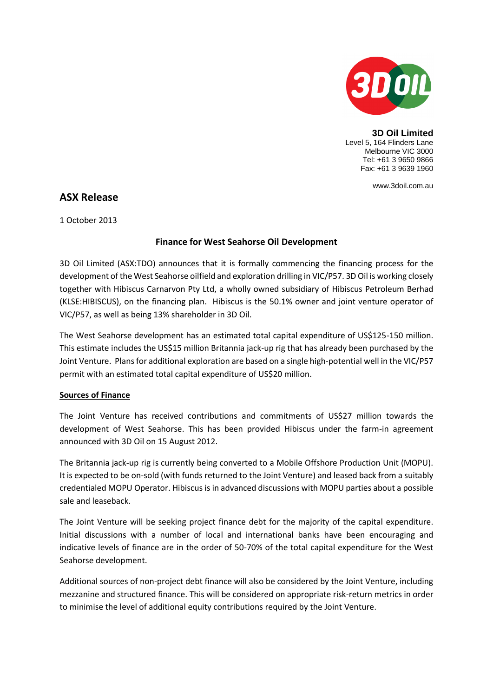

**3D Oil Limited** Level 5, 164 Flinders Lane Melbourne VIC 3000 Tel: +61 3 9650 9866 Fax: +61 3 9639 1960

www.3doil.com.au

# **ASX Release**

1 October 2013

## **Finance for West Seahorse Oil Development**

3D Oil Limited (ASX:TDO) announces that it is formally commencing the financing process for the development of the West Seahorse oilfield and exploration drilling in VIC/P57. 3D Oil is working closely together with Hibiscus Carnarvon Pty Ltd, a wholly owned subsidiary of Hibiscus Petroleum Berhad (KLSE:HIBISCUS), on the financing plan. Hibiscus is the 50.1% owner and joint venture operator of VIC/P57, as well as being 13% shareholder in 3D Oil.

The West Seahorse development has an estimated total capital expenditure of US\$125-150 million. This estimate includes the US\$15 million Britannia jack-up rig that has already been purchased by the Joint Venture. Plans for additional exploration are based on a single high-potential well in the VIC/P57 permit with an estimated total capital expenditure of US\$20 million.

### **Sources of Finance**

The Joint Venture has received contributions and commitments of US\$27 million towards the development of West Seahorse. This has been provided Hibiscus under the farm-in agreement announced with 3D Oil on 15 August 2012.

The Britannia jack-up rig is currently being converted to a Mobile Offshore Production Unit (MOPU). It is expected to be on-sold (with funds returned to the Joint Venture) and leased back from a suitably credentialed MOPU Operator. Hibiscus is in advanced discussions with MOPU parties about a possible sale and leaseback.

The Joint Venture will be seeking project finance debt for the majority of the capital expenditure. Initial discussions with a number of local and international banks have been encouraging and indicative levels of finance are in the order of 50-70% of the total capital expenditure for the West Seahorse development.

Additional sources of non-project debt finance will also be considered by the Joint Venture, including mezzanine and structured finance. This will be considered on appropriate risk-return metrics in order to minimise the level of additional equity contributions required by the Joint Venture.